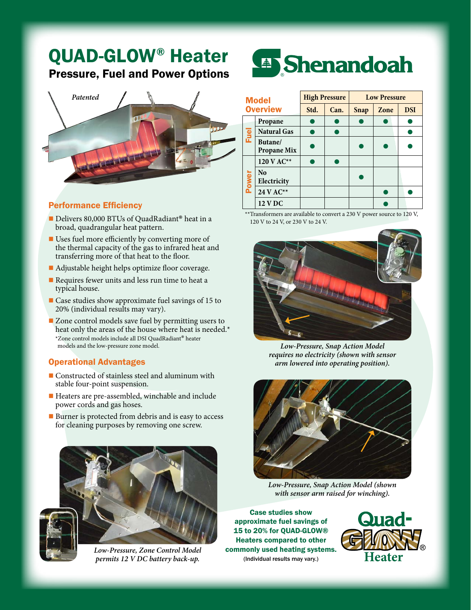## QUAD-GLOW<sup>®</sup> Heater Pressure, Fuel and Power Options



## Performance Efficiency

- Delivers 80,000 BTUs of QuadRadiant® heat in a broad, quadrangular heat pattern.
- $\blacksquare$  Uses fuel more efficiently by converting more of the thermal capacity of the gas to infrared heat and transferring more of that heat to the floor.
- $\blacksquare$  Adjustable height helps optimize floor coverage.
- $\blacksquare$  Requires fewer units and less run time to heat a typical house.
- $\blacksquare$  Case studies show approximate fuel savings of 15 to 20% (individual results may vary).
- $\blacksquare$  Zone control models save fuel by permitting users to heat only the areas of the house where heat is needed.\* \*Zone control models include all DSI QuadRadiant® heater models and the low-pressure zone model.

## Operational Advantages

- $\blacksquare$  Constructed of stainless steel and aluminum with stable four-point suspension.
- Heaters are pre-assembled, winchable and include power cords and gas hoses.
- Burner is protected from debris and is easy to access for cleaning purposes by removing one screw.



*Low-Pressure, Zone Control Model permits 12 V DC battery back-up.*



| <b>Model</b><br><b>Overview</b> |                               | <b>High Pressure</b> |      | <b>Low Pressure</b> |      |            |
|---------------------------------|-------------------------------|----------------------|------|---------------------|------|------------|
|                                 |                               | Std.                 | Can. | <b>Snap</b>         | Zone | <b>DSI</b> |
| Fuel                            | Propane                       |                      |      |                     |      |            |
|                                 | <b>Natural Gas</b>            |                      |      |                     |      |            |
|                                 | Butane/<br><b>Propane Mix</b> |                      |      |                     |      |            |
| Power                           | 120 V AC**                    |                      |      |                     |      |            |
|                                 | N <sub>0</sub><br>Electricity |                      |      |                     |      |            |
|                                 | 24 V AC**                     |                      |      |                     |      |            |
|                                 | <b>12 V DC</b>                |                      |      |                     |      |            |

 \*\*Transformers are available to convert a 230 V power source to 120 V, 120 V to 24 V, or 230 V to 24 V.



*Low-Pressure, Snap Action Model requires no electricity (shown with sensor arm lowered into operating position).*



*Low-Pressure, Snap Action Model (shown with sensor arm raised for winching).*

Case studies show approximate fuel savings of 15 to 20% for QUAD-GLOW® Heaters compared to other commonly used heating systems. (Individual results may vary.)

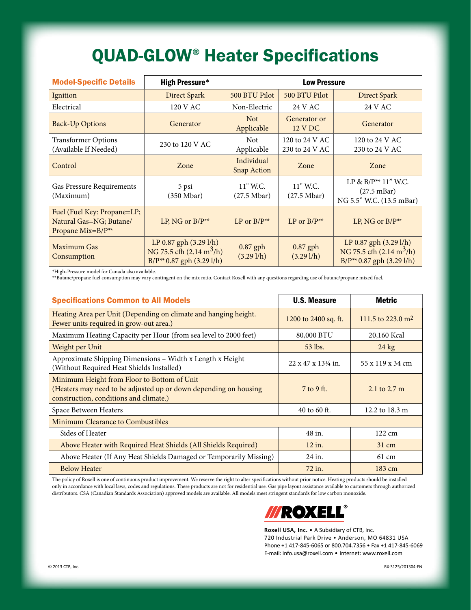## QUAD-GLOW® Heater Specifications

| <b>Model-Specific Details</b>                                                           | <b>High Pressure*</b>                                                                                 | <b>Low Pressure</b>                              |                                                  |                                                                                                                   |  |
|-----------------------------------------------------------------------------------------|-------------------------------------------------------------------------------------------------------|--------------------------------------------------|--------------------------------------------------|-------------------------------------------------------------------------------------------------------------------|--|
| Ignition                                                                                | Direct Spark                                                                                          | 500 BTU Pilot                                    | 500 BTU Pilot                                    | Direct Spark                                                                                                      |  |
| Electrical                                                                              | 120 V AC                                                                                              | Non-Electric                                     | 24 V AC                                          | 24 V AC                                                                                                           |  |
| <b>Back-Up Options</b>                                                                  | Generator                                                                                             | <b>Not</b><br>Applicable                         | Generator or<br>12 V DC                          | Generator                                                                                                         |  |
| <b>Transformer Options</b><br>(Available If Needed)                                     | 230 to 120 V AC                                                                                       | <b>Not</b><br>Applicable                         | 120 to 24 V AC<br>230 to 24 V AC                 | 120 to 24 V AC<br>230 to 24 V AC                                                                                  |  |
| Control                                                                                 | Zone                                                                                                  | Individual<br><b>Snap Action</b>                 | Zone                                             | Zone                                                                                                              |  |
| Gas Pressure Requirements<br>(Maximum)                                                  | 5 psi<br>$(350 \text{ Mbar})$                                                                         | 11" W.C.<br>$(27.5 \text{ Mbar})$                | $11"$ W.C.<br>$(27.5 \text{ Mbar})$              | LP & $B/P^{**}$ 11" W.C.<br>$(27.5 \text{ mBar})$<br>NG 5.5" W.C. (13.5 mBar)                                     |  |
| Fuel (Fuel Key: Propane=LP;<br>Natural Gas=NG; Butane/<br>Propane Mix=B/P <sup>**</sup> | LP, NG or $B/P^{**}$                                                                                  | LP or $B/P^{**}$                                 | LP or $B/P^{**}$                                 | LP, NG or $B/P^{**}$                                                                                              |  |
| Maximum Gas<br>Consumption                                                              | LP 0.87 gph (3.29 l/h)<br>NG 75.5 cfh $(2.14 \text{ m}^3/\text{h})$<br>$B/P^{**}$ 0.87 gph (3.29 l/h) | $0.87$ gph<br>$(3.29 \frac{\text{1}}{\text{h}})$ | $0.87$ gph<br>$(3.29 \frac{\text{1}}{\text{h}})$ | LP $0.87$ gph $(3.29 \text{ l/h})$<br>NG 75.5 cfh $(2.14 \text{ m}^3/\text{h})$<br>$B/P^{**}$ 0.87 gph (3.29 l/h) |  |

\*High-Pressure model for Canada also available.

\*\*Butane/propane fuel consumption may vary contingent on the mix ratio. Contact Roxell with any questions regarding use of butane/propane mixed fuel.

| <b>Specifications Common to All Models</b>                                                                                                                | <b>U.S. Measure</b>                     | Metric                        |  |  |  |  |
|-----------------------------------------------------------------------------------------------------------------------------------------------------------|-----------------------------------------|-------------------------------|--|--|--|--|
| Heating Area per Unit (Depending on climate and hanging height.<br>Fewer units required in grow-out area.)                                                | 1200 to 2400 sq. ft.                    | 111.5 to 223.0 m <sup>2</sup> |  |  |  |  |
| Maximum Heating Capacity per Hour (from sea level to 2000 feet)                                                                                           | 80,000 BTU                              | 20,160 Kcal                   |  |  |  |  |
| Weight per Unit                                                                                                                                           | 53 lbs.                                 | $24 \text{ kg}$               |  |  |  |  |
| Approximate Shipping Dimensions - Width x Length x Height<br>(Without Required Heat Shields Installed)                                                    | $22 \times 47 \times 13\frac{1}{4}$ in. | 55 x 119 x 34 cm              |  |  |  |  |
| Minimum Height from Floor to Bottom of Unit<br>(Heaters may need to be adjusted up or down depending on housing<br>construction, conditions and climate.) | $7$ to 9 ft.                            | 2.1 to $2.7 \text{ m}$        |  |  |  |  |
| Space Between Heaters                                                                                                                                     | 40 to 60 ft.                            | 12.2 to 18.3 m                |  |  |  |  |
| Minimum Clearance to Combustibles                                                                                                                         |                                         |                               |  |  |  |  |
| Sides of Heater                                                                                                                                           | 48 in.                                  | $122 \text{ cm}$              |  |  |  |  |
| Above Heater with Required Heat Shields (All Shields Required)                                                                                            | $12$ in.                                | $31 \text{ cm}$               |  |  |  |  |
| Above Heater (If Any Heat Shields Damaged or Temporarily Missing)                                                                                         | 24 in.                                  | 61 cm                         |  |  |  |  |
| <b>Below Heater</b>                                                                                                                                       | 72 in.                                  | $183 \text{ cm}$              |  |  |  |  |

The policy of Roxell is one of continuous product improvement. We reserve the right to alter specifications without prior notice. Heating products should be installed only in accordance with local laws, codes and regulations. These products are not for residential use. Gas pipe layout assistance available to customers through authorized distributors. CSA (Canadian Standards Association) approved models are available. All models meet stringent standards for low carbon monoxide.



**Roxell USA, Inc.** • A Subsidiary of CTB, Inc. 720 Industrial Park Drive • Anderson, MO 64831 USA Phone +1 417-845-6065 or 800.704.7356 • Fax +1 417-845-6069 E-mail: info.usa@roxell.com • Internet: www.roxell.com